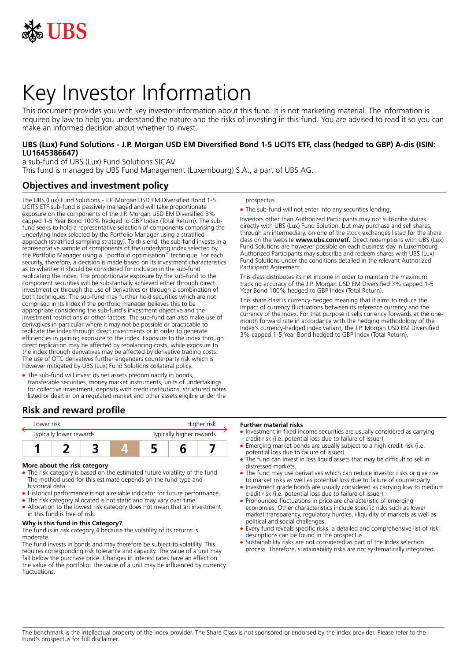

# Key Investor Information

This document provides you with key investor information about this fund. It is not marketing material. The information is required by law to help you understand the nature and the risks of investing in this fund. You are advised to read it so you can make an informed decision about whether to invest.

#### **UBS (Lux) Fund Solutions - J.P. Morgan USD EM Diversified Bond 1-5 UCITS ETF, class (hedged to GBP) A-dis (ISIN: LU1645386647)**

a sub-fund of UBS (Lux) Fund Solutions SICAV This fund is managed by UBS Fund Management (Luxembourg) S.A., a part of UBS AG.

## **Objectives and investment policy**

The UBS (Lux) Fund Solutions - J.P. Morgan USD EM Diversified Bond 1-5 UCITS ETF sub-fund is passively managed and will take proportionate exposure on the components of the J.P. Morgan USD EM Diversified 3% capped 1-5 Year Bond 100% hedged to GBP Index (Total Return). The subfund seeks to hold a representative selection of components comprising the underlying Index selected by the Portfolio Manager using a stratified approach (stratified sampling strategy). To this end, the sub-fund invests in a representative sample of components of the underlying index selected by the Portfolio Manager using a "portfolio optimisation" technique. For each security, therefore, a decision is made based on its investment characteristics as to whether it should be considered for inclusion in the sub-fund replicating the index. The proportionate exposure by the sub-fund to the component securities will be substantially achieved either through direct investment or through the use of derivatives or through a combination of both techniques. The sub-fund may further hold securities which are not comprised in its Index if the portfolio manager believes this to be appropriate considering the sub-fund's investment objective and the investment restrictions or other factors. The sub-fund can also make use of derivatives in particular where it may not be possible or practicable to replicate the index through direct investments or in order to generate efficiencies in gaining exposure to the index. Exposure to the index through direct replication may be affected by rebalancing costs, while exposure to the index through derivatives may be affected by derivative trading costs. The use of OTC derivatives further engenders counterparty risk which is however mitigated by UBS (Lux) Fund Solutions collateral policy.

• The sub-fund will invest its net assets predominantly in bonds, transferable securities, money market instruments, units of undertakings for collective investment, deposits with credit institutions, structured notes listed or dealt in on a regulated market and other assets eligible under the

## **Risk and reward profile**

| Tower risk              |  |  |                          | Higher risk |  |  |
|-------------------------|--|--|--------------------------|-------------|--|--|
| Typically lower rewards |  |  | Typically higher rewards |             |  |  |
|                         |  |  |                          |             |  |  |

#### **More about the risk category**

- 5 The risk category is based on the estimated future volatility of the fund. The method used for this estimate depends on the fund type and historical data.
- Historical performance is not a reliable indicator for future performance.
- The risk category allocated is not static and may vary over time.
- Allocation to the lowest risk category does not mean that an investment in this fund is free of risk.

#### **Why is this fund in this Category?**

The fund is in risk category 4 because the volatility of its returns is moderate.

The fund invests in bonds and may therefore be subject to volatility. This requires corresponding risk tolerance and capacity. The value of a unit may fall below the purchase price. Changes in interest rates have an effect on the value of the portfolio. The value of a unit may be influenced by currency fluctuations.

prospectus.

• The sub-fund will not enter into any securities lending.

Investors other than Authorized Participants may not subscribe shares directly with UBS (Lux) Fund Solution, but may purchase and sell shares, through an intermediary, on one of the stock exchanges listed for the share class on the website **www.ubs.com/etf.** Direct redemptions with UBS (Lux) Fund Solutions are however possible on each business day in Luxembourg. Authorized Participants may subscribe and redeem shares with UBS (Lux) Fund Solutions under the conditions detailed in the relevant Authorized Participant Agreement.

This class distributes its net income in order to maintain the maximum tracking accuracy of the J.P. Morgan USD EM Diversified 3% capped 1-5 Year Bond 100% hedged to GBP Index (Total Return).

This share class is currency-hedged meaning that it aims to reduce the impact of currency fluctuations between its reference currency and the currency of the Index. For that purpose it sells currency forwards at the onemonth forward rate in accordance with the hedging methodology of the Index's currency-hedged index variant, the J.P. Morgan USD EM Diversified 3% capped 1-5 Year Bond hedged to GBP Index (Total Return).

#### **Further material risks**

- Investment in fixed income securities are usually considered as carrying credit risk (i.e. potential loss due to failure of issuer).
- Emerging market bonds are usually subject to a high credit risk (i.e. potential loss due to failure of issuer).
- The fund can invest in less liquid assets that may be difficult to sell in distressed markets.
- The fund may use derivatives which can reduce investor risks or give rise to market risks as well as potential loss due to failure of counterparty.
- Investment grade bonds are usually considered as carrying low to medium credit risk (i.e. potential loss due to failure of issuer).
- 5 Pronounced fluctuations in price are characteristic of emerging economies. Other characteristics include specific risks such as lower market transparency, regulatory hurdles, illiquidity of markets as well as political and social challenges.
- 5 Every fund reveals specific risks, a detailed and comprehensive list of risk descriptions can be found in the prospectus.
- Sustainability risks are not considered as part of the Index selection process. Therefore, sustainability risks are not systematically integrated.